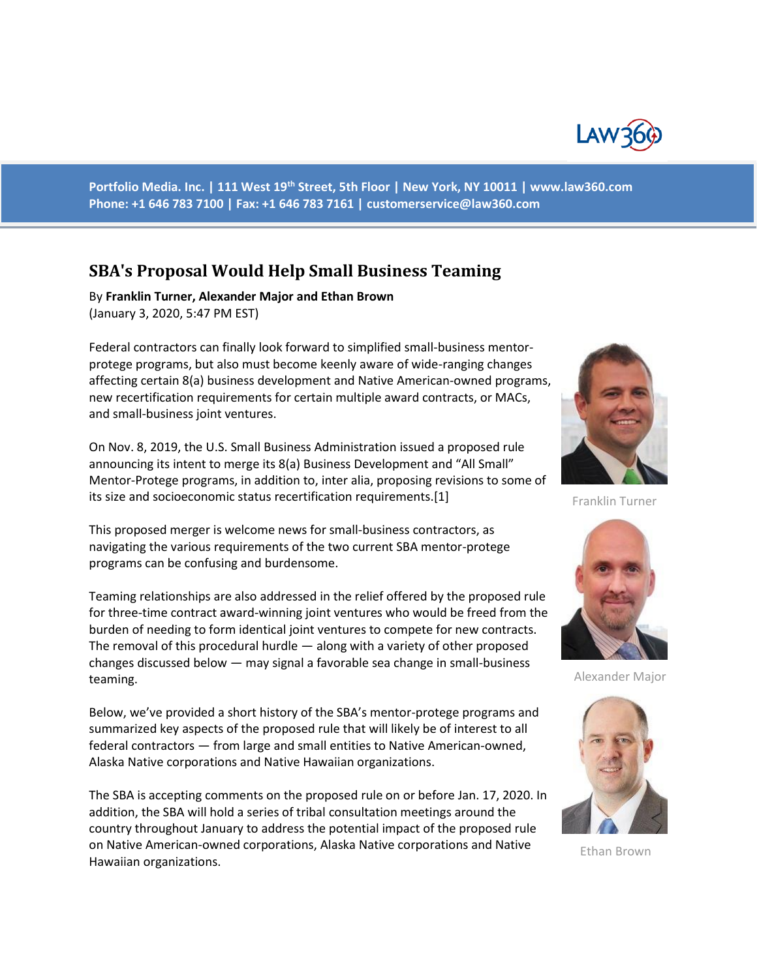

**Portfolio Media. Inc. | 111 West 19th Street, 5th Floor | New York, NY 10011 | www.law360.com Phone: +1 646 783 7100 | Fax: +1 646 783 7161 | [customerservice@law360.com](mailto:customerservice@law360.com)**

# **SBA's Proposal Would Help Small Business Teaming**

By **Franklin Turner, Alexander Major and Ethan Brown** (January 3, 2020, 5:47 PM EST)

Federal contractors can finally look forward to simplified small-business mentorprotege programs, but also must become keenly aware of wide-ranging changes affecting certain 8(a) business development and Native American-owned programs, new recertification requirements for certain multiple award contracts, or MACs, and small-business joint ventures.

On Nov. 8, 2019, the U.S. Small Business Administration issued a proposed rule announcing its intent to merge its 8(a) Business Development and "All Small" Mentor-Protege programs, in addition to, inter alia, proposing revisions to some of its size and socioeconomic status recertification requirements.[1]

This proposed merger is welcome news for small-business contractors, as navigating the various requirements of the two current SBA mentor-protege programs can be confusing and burdensome.

Teaming relationships are also addressed in the relief offered by the proposed rule for three-time contract award-winning joint ventures who would be freed from the burden of needing to form identical joint ventures to compete for new contracts. The removal of this procedural hurdle — along with a variety of other proposed changes discussed below — may signal a favorable sea change in small-business teaming.

Below, we've provided a short history of the SBA's mentor-protege programs and summarized key aspects of the proposed rule that will likely be of interest to all federal contractors — from large and small entities to Native American-owned, Alaska Native corporations and Native Hawaiian organizations.

The SBA is accepting comments on the proposed rule on or before Jan. 17, 2020. In addition, the SBA will hold a series of tribal consultation meetings around the country throughout January to address the potential impact of the proposed rule on Native American-owned corporations, Alaska Native corporations and Native Hawaiian organizations.



Franklin Turner



Alexander Major



Ethan Brown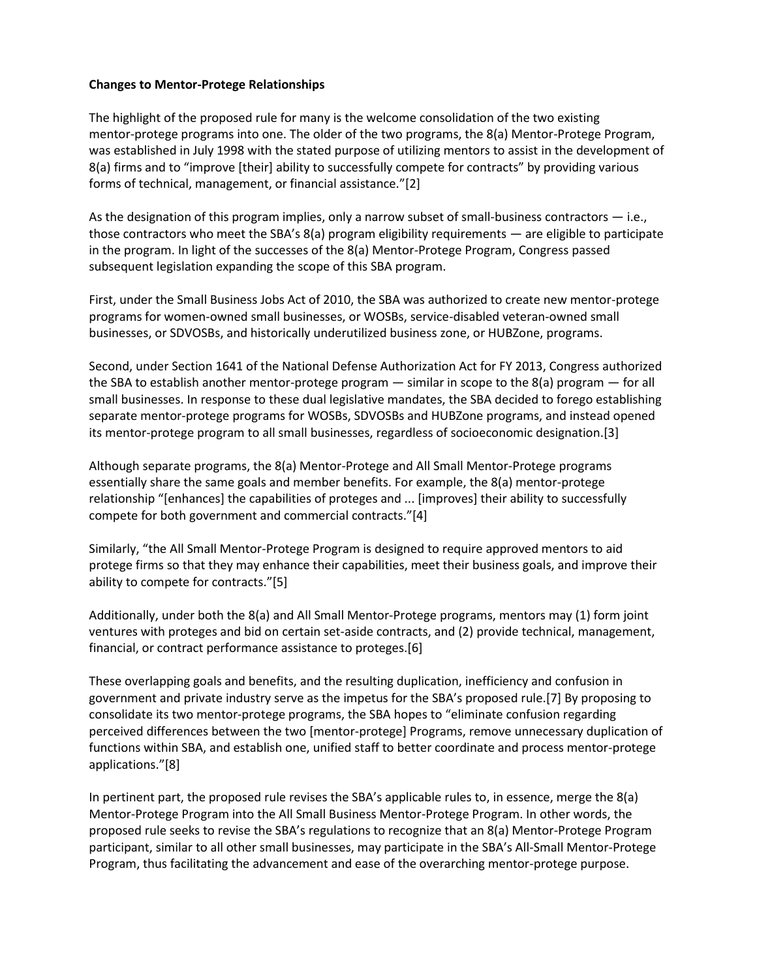#### **Changes to Mentor-Protege Relationships**

The highlight of the proposed rule for many is the welcome consolidation of the two existing mentor-protege programs into one. The older of the two programs, the 8(a) Mentor-Protege Program, was established in July 1998 with the stated purpose of utilizing mentors to assist in the development of 8(a) firms and to "improve [their] ability to successfully compete for contracts" by providing various forms of technical, management, or financial assistance."[2]

As the designation of this program implies, only a narrow subset of small-business contractors — i.e., those contractors who meet the SBA's 8(a) program eligibility requirements — are eligible to participate in the program. In light of the successes of the 8(a) Mentor-Protege Program, Congress passed subsequent legislation expanding the scope of this SBA program.

First, under the Small Business Jobs Act of 2010, the SBA was authorized to create new mentor-protege programs for women-owned small businesses, or WOSBs, service-disabled veteran-owned small businesses, or SDVOSBs, and historically underutilized business zone, or HUBZone, programs.

Second, under Section 1641 of the National Defense Authorization Act for FY 2013, Congress authorized the SBA to establish another mentor-protege program — similar in scope to the 8(a) program — for all small businesses. In response to these dual legislative mandates, the SBA decided to forego establishing separate mentor-protege programs for WOSBs, SDVOSBs and HUBZone programs, and instead opened its mentor-protege program to all small businesses, regardless of socioeconomic designation.[3]

Although separate programs, the 8(a) Mentor-Protege and All Small Mentor-Protege programs essentially share the same goals and member benefits. For example, the 8(a) mentor-protege relationship "[enhances] the capabilities of proteges and ... [improves] their ability to successfully compete for both government and commercial contracts."[4]

Similarly, "the All Small Mentor-Protege Program is designed to require approved mentors to aid protege firms so that they may enhance their capabilities, meet their business goals, and improve their ability to compete for contracts."[5]

Additionally, under both the 8(a) and All Small Mentor-Protege programs, mentors may (1) form joint ventures with proteges and bid on certain set-aside contracts, and (2) provide technical, management, financial, or contract performance assistance to proteges.[6]

These overlapping goals and benefits, and the resulting duplication, inefficiency and confusion in government and private industry serve as the impetus for the SBA's proposed rule.[7] By proposing to consolidate its two mentor-protege programs, the SBA hopes to "eliminate confusion regarding perceived differences between the two [mentor-protege] Programs, remove unnecessary duplication of functions within SBA, and establish one, unified staff to better coordinate and process mentor-protege applications."[8]

In pertinent part, the proposed rule revises the SBA's applicable rules to, in essence, merge the 8(a) Mentor-Protege Program into the All Small Business Mentor-Protege Program. In other words, the proposed rule seeks to revise the SBA's regulations to recognize that an 8(a) Mentor-Protege Program participant, similar to all other small businesses, may participate in the SBA's All-Small Mentor-Protege Program, thus facilitating the advancement and ease of the overarching mentor-protege purpose.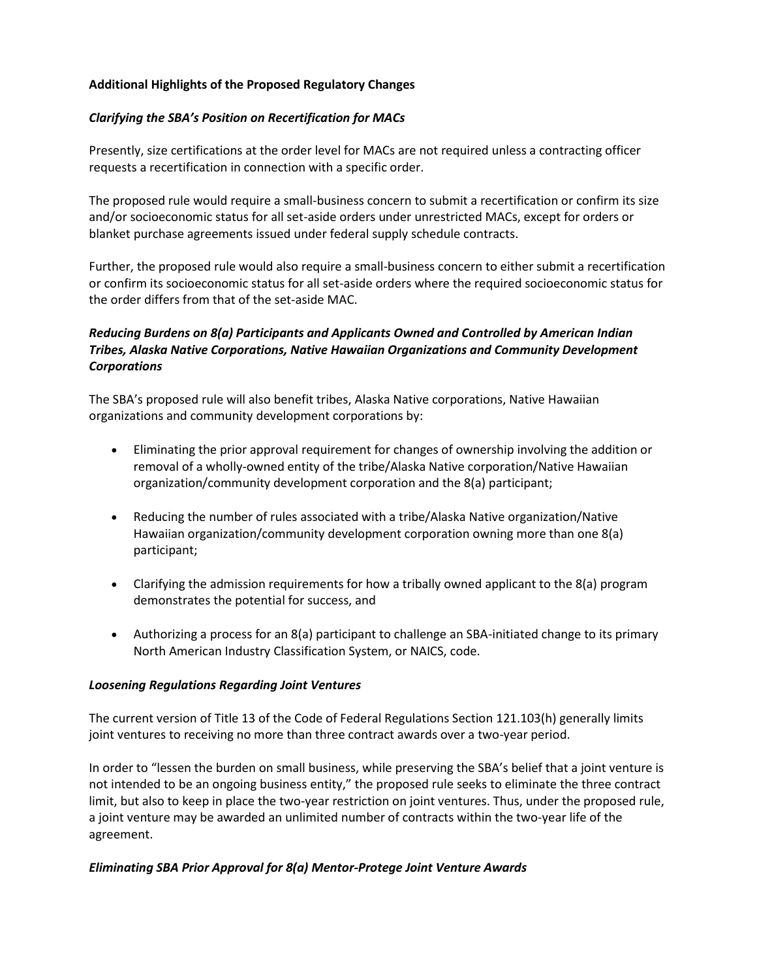## **Additional Highlights of the Proposed Regulatory Changes**

### *Clarifying the SBA's Position on Recertification for MACs*

Presently, size certifications at the order level for MACs are not required unless a contracting officer requests a recertification in connection with a specific order.

The proposed rule would require a small-business concern to submit a recertification or confirm its size and/or socioeconomic status for all set-aside orders under unrestricted MACs, except for orders or blanket purchase agreements issued under federal supply schedule contracts.

Further, the proposed rule would also require a small-business concern to either submit a recertification or confirm its socioeconomic status for all set-aside orders where the required socioeconomic status for the order differs from that of the set-aside MAC.

# *Reducing Burdens on 8(a) Participants and Applicants Owned and Controlled by American Indian Tribes, Alaska Native Corporations, Native Hawaiian Organizations and Community Development Corporations*

The SBA's proposed rule will also benefit tribes, Alaska Native corporations, Native Hawaiian organizations and community development corporations by:

- Eliminating the prior approval requirement for changes of ownership involving the addition or removal of a wholly-owned entity of the tribe/Alaska Native corporation/Native Hawaiian organization/community development corporation and the 8(a) participant;
- Reducing the number of rules associated with a tribe/Alaska Native organization/Native Hawaiian organization/community development corporation owning more than one 8(a) participant;
- Clarifying the admission requirements for how a tribally owned applicant to the 8(a) program demonstrates the potential for success, and
- Authorizing a process for an 8(a) participant to challenge an SBA-initiated change to its primary North American Industry Classification System, or NAICS, code.

#### *Loosening Regulations Regarding Joint Ventures*

The current version of Title 13 of the Code of Federal Regulations Section 121.103(h) generally limits joint ventures to receiving no more than three contract awards over a two-year period.

In order to "lessen the burden on small business, while preserving the SBA's belief that a joint venture is not intended to be an ongoing business entity," the proposed rule seeks to eliminate the three contract limit, but also to keep in place the two-year restriction on joint ventures. Thus, under the proposed rule, a joint venture may be awarded an unlimited number of contracts within the two-year life of the agreement.

#### *Eliminating SBA Prior Approval for 8(a) Mentor-Protege Joint Venture Awards*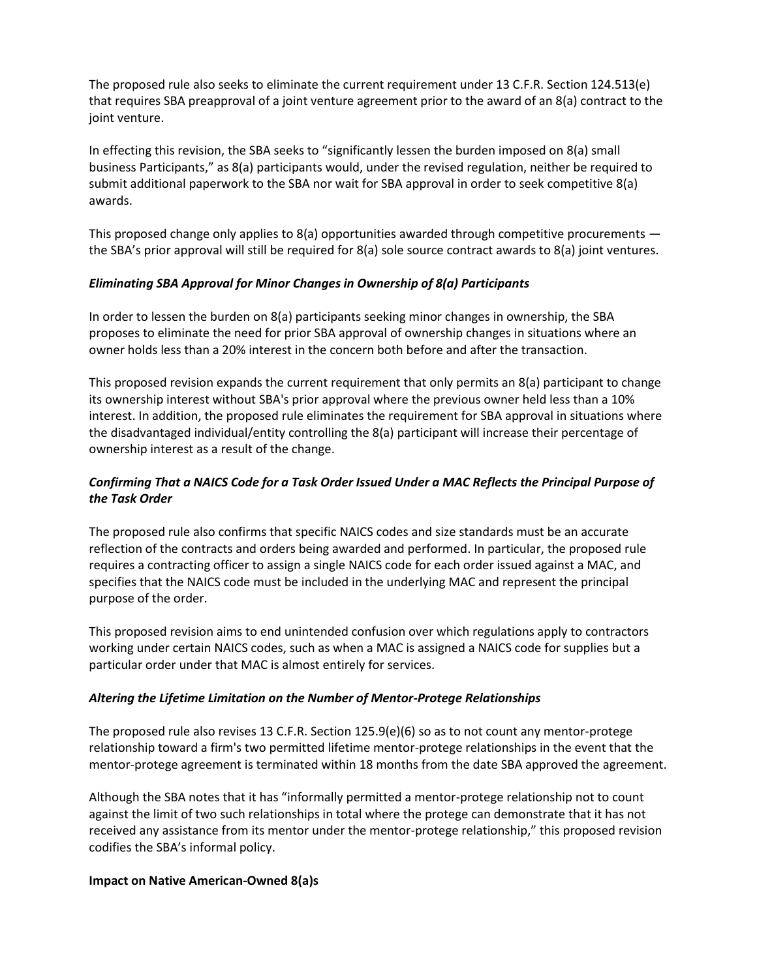The proposed rule also seeks to eliminate the current requirement under 13 C.F.R. Section 124.513(e) that requires SBA preapproval of a joint venture agreement prior to the award of an 8(a) contract to the joint venture.

In effecting this revision, the SBA seeks to "significantly lessen the burden imposed on 8(a) small business Participants," as 8(a) participants would, under the revised regulation, neither be required to submit additional paperwork to the SBA nor wait for SBA approval in order to seek competitive 8(a) awards.

This proposed change only applies to  $8(a)$  opportunities awarded through competitive procurements  $$ the SBA's prior approval will still be required for 8(a) sole source contract awards to 8(a) joint ventures.

## *Eliminating SBA Approval for Minor Changes in Ownership of 8(a) Participants*

In order to lessen the burden on 8(a) participants seeking minor changes in ownership, the SBA proposes to eliminate the need for prior SBA approval of ownership changes in situations where an owner holds less than a 20% interest in the concern both before and after the transaction.

This proposed revision expands the current requirement that only permits an 8(a) participant to change its ownership interest without SBA's prior approval where the previous owner held less than a 10% interest. In addition, the proposed rule eliminates the requirement for SBA approval in situations where the disadvantaged individual/entity controlling the 8(a) participant will increase their percentage of ownership interest as a result of the change.

# *Confirming That a NAICS Code for a Task Order Issued Under a MAC Reflects the Principal Purpose of the Task Order*

The proposed rule also confirms that specific NAICS codes and size standards must be an accurate reflection of the contracts and orders being awarded and performed. In particular, the proposed rule requires a contracting officer to assign a single NAICS code for each order issued against a MAC, and specifies that the NAICS code must be included in the underlying MAC and represent the principal purpose of the order.

This proposed revision aims to end unintended confusion over which regulations apply to contractors working under certain NAICS codes, such as when a MAC is assigned a NAICS code for supplies but a particular order under that MAC is almost entirely for services.

#### *Altering the Lifetime Limitation on the Number of Mentor-Protege Relationships*

The proposed rule also revises 13 C.F.R. Section 125.9(e)(6) so as to not count any mentor-protege relationship toward a firm's two permitted lifetime mentor-protege relationships in the event that the mentor-protege agreement is terminated within 18 months from the date SBA approved the agreement.

Although the SBA notes that it has "informally permitted a mentor-protege relationship not to count against the limit of two such relationships in total where the protege can demonstrate that it has not received any assistance from its mentor under the mentor-protege relationship," this proposed revision codifies the SBA's informal policy.

#### **Impact on Native American-Owned 8(a)s**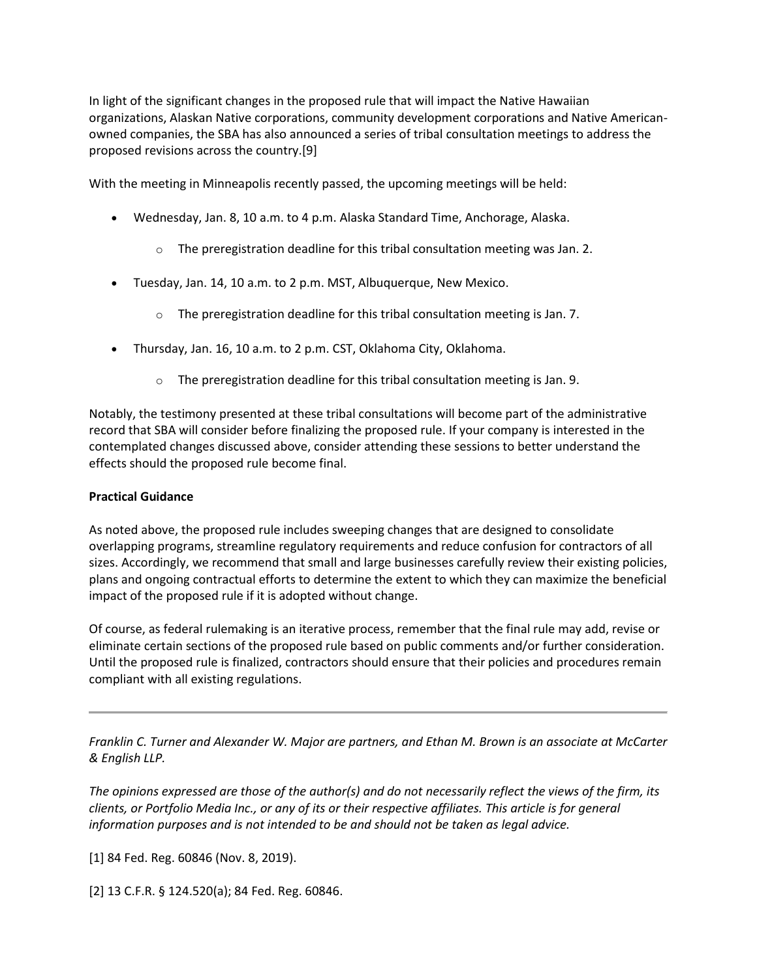In light of the significant changes in the proposed rule that will impact the Native Hawaiian organizations, Alaskan Native corporations, community development corporations and Native Americanowned companies, the SBA has also announced a series of tribal consultation meetings to address the proposed revisions across the country.[9]

With the meeting in Minneapolis recently passed, the upcoming meetings will be held:

- Wednesday, Jan. 8, 10 a.m. to 4 p.m. Alaska Standard Time, Anchorage, Alaska.
	- $\circ$  The preregistration deadline for this tribal consultation meeting was Jan. 2.
- Tuesday, Jan. 14, 10 a.m. to 2 p.m. MST, Albuquerque, New Mexico.
	- $\circ$  The preregistration deadline for this tribal consultation meeting is Jan. 7.
- Thursday, Jan. 16, 10 a.m. to 2 p.m. CST, Oklahoma City, Oklahoma.
	- $\circ$  The preregistration deadline for this tribal consultation meeting is Jan. 9.

Notably, the testimony presented at these tribal consultations will become part of the administrative record that SBA will consider before finalizing the proposed rule. If your company is interested in the contemplated changes discussed above, consider attending these sessions to better understand the effects should the proposed rule become final.

#### **Practical Guidance**

As noted above, the proposed rule includes sweeping changes that are designed to consolidate overlapping programs, streamline regulatory requirements and reduce confusion for contractors of all sizes. Accordingly, we recommend that small and large businesses carefully review their existing policies, plans and ongoing contractual efforts to determine the extent to which they can maximize the beneficial impact of the proposed rule if it is adopted without change.

Of course, as federal rulemaking is an iterative process, remember that the final rule may add, revise or eliminate certain sections of the proposed rule based on public comments and/or further consideration. Until the proposed rule is finalized, contractors should ensure that their policies and procedures remain compliant with all existing regulations.

*Franklin C. Turner and Alexander W. Major are partners, and Ethan M. Brown is an associate at McCarter & English LLP.*

*The opinions expressed are those of the author(s) and do not necessarily reflect the views of the firm, its clients, or Portfolio Media Inc., or any of its or their respective affiliates. This article is for general information purposes and is not intended to be and should not be taken as legal advice.*

[1] 84 Fed. Reg. 60846 (Nov. 8, 2019).

[2] 13 C.F.R. § 124.520(a); 84 Fed. Reg. 60846.